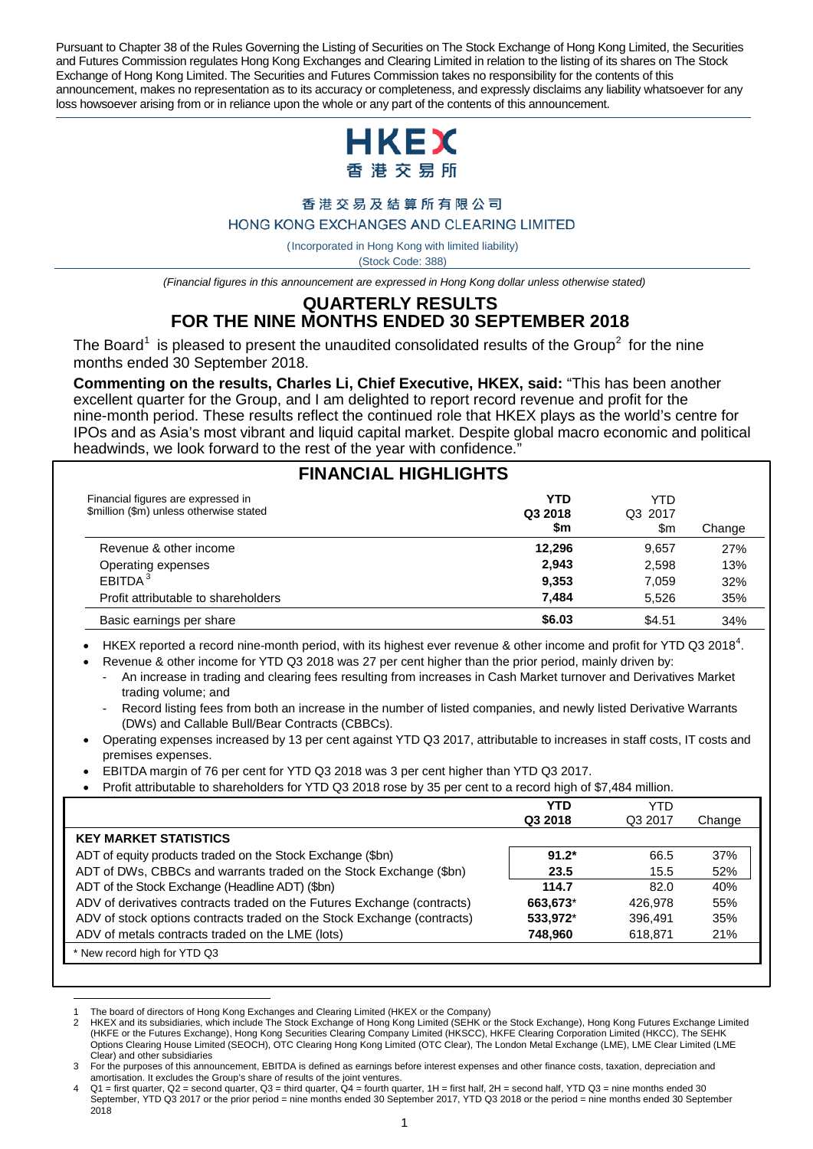Pursuant to Chapter 38 of the Rules Governing the Listing of Securities on The Stock Exchange of Hong Kong Limited, the Securities and Futures Commission regulates Hong Kong Exchanges and Clearing Limited in relation to the listing of its shares on The Stock Exchange of Hong Kong Limited. The Securities and Futures Commission takes no responsibility for the contents of this announcement, makes no representation as to its accuracy or completeness, and expressly disclaims any liability whatsoever for any loss howsoever arising from or in reliance upon the whole or any part of the contents of this announcement.



#### 香港交易及結算所有限公司

#### HONG KONG EXCHANGES AND CLEARING LIMITED

( Incorporated in Hong Kong with limited liability) (Stock Code: 388)

*(Financial figures in this announcement are expressed in Hong Kong dollar unless otherwise stated)*

# **QUARTERLY RESULTS FOR THE NINE MONTHS ENDED 30 SEPTEMBER 2018**

The Board<sup>[1](#page-0-0)</sup> is pleased to present the unaudited consolidated results of the Group<sup>[2](#page-0-1)</sup> for the nine months ended 30 September 2018.

**Commenting on the results, Charles Li, Chief Executive, HKEX, said:** "This has been another excellent quarter for the Group, and I am delighted to report record revenue and profit for the nine-month period. These results reflect the continued role that HKEX plays as the world's centre for IPOs and as Asia's most vibrant and liquid capital market. Despite global macro economic and political headwinds, we look forward to the rest of the year with confidence.'

# **FINANCIAL HIGHLIGHTS**

| Financial figures are expressed in<br>\$million (\$m) unless otherwise stated | <b>YTD</b><br>Q3 2018<br>\$m | YTD<br>Q3 2017<br>\$m | Change |
|-------------------------------------------------------------------------------|------------------------------|-----------------------|--------|
| Revenue & other income                                                        | 12,296                       | 9.657                 | 27%    |
| Operating expenses                                                            | 2,943                        | 2,598                 | 13%    |
| EBITDA <sup>3</sup>                                                           | 9,353                        | 7,059                 | 32%    |
| Profit attributable to shareholders                                           | 7.484                        | 5.526                 | 35%    |
| Basic earnings per share                                                      | \$6.03                       | \$4.51                | 34%    |

• HKEX reported a record nine-month period, with its highest ever revenue & other income and profit for YTD Q3 2018<sup>[4](#page-0-2)</sup>.

Revenue & other income for YTD Q3 2018 was 27 per cent higher than the prior period, mainly driven by:

- An increase in trading and clearing fees resulting from increases in Cash Market turnover and Derivatives Market trading volume; and
- Record listing fees from both an increase in the number of listed companies, and newly listed Derivative Warrants (DWs) and Callable Bull/Bear Contracts (CBBCs).
- Operating expenses increased by 13 per cent against YTD Q3 2017, attributable to increases in staff costs, IT costs and premises expenses.
- EBITDA margin of 76 per cent for YTD Q3 2018 was 3 per cent higher than YTD Q3 2017.
- Profit attributable to shareholders for YTD Q3 2018 rose by 35 per cent to a record high of \$7,484 million.

|                                                                         | YTD      | YTD     |        |
|-------------------------------------------------------------------------|----------|---------|--------|
|                                                                         | Q3 2018  | Q3 2017 | Change |
| <b>KEY MARKET STATISTICS</b>                                            |          |         |        |
| ADT of equity products traded on the Stock Exchange (\$bn)              | $91.2*$  | 66.5    | 37%    |
| ADT of DWs, CBBCs and warrants traded on the Stock Exchange (\$bn)      | 23.5     | 15.5    | 52%    |
| ADT of the Stock Exchange (Headline ADT) (\$bn)                         | 114.7    | 82.0    | 40%    |
| ADV of derivatives contracts traded on the Futures Exchange (contracts) | 663,673* | 426.978 | 55%    |
| ADV of stock options contracts traded on the Stock Exchange (contracts) | 533,972* | 396.491 | 35%    |
| ADV of metals contracts traded on the LME (lots)                        | 748.960  | 618.871 | 21%    |
| New record high for YTD Q3                                              |          |         |        |

 $\overline{a}$ 1 The board of directors of Hong Kong Exchanges and Clearing Limited (HKEX or the Company)<br>2 HKEX and its subsidiaries, which include The Stock Exchange of Hong Kong Limited (SEHK or

<span id="page-0-1"></span><span id="page-0-0"></span><sup>2</sup> HKEX and its subsidiaries, which include The Stock Exchange of Hong Kong Limited (SEHK or the Stock Exchange), Hong Kong Futures Exchange Limited (HKFE or the Futures Exchange), Hong Kong Securities Clearing Company Limited (HKSCC), HKFE Clearing Corporation Limited (HKCC), The SEHK Options Clearing House Limited (SEOCH), OTC Clearing Hong Kong Limited (OTC Clear), The London Metal Exchange (LME), LME Clear Limited (LME Clear) and other subsidiaries

<span id="page-0-3"></span><sup>3</sup> For the purposes of this announcement, EBITDA is defined as earnings before interest expenses and other finance costs, taxation, depreciation and amortisation. It excludes the Group's share of results of the joint ventures.

<span id="page-0-2"></span> $Q1$  = first quarter,  $Q2$  = second quarter,  $Q3$  = third quarter,  $\dot{Q}4$  = fourth quarter,  $1H$  = first half,  $2H$  = second half, YTD  $Q3$  = nine months ended 30 September, YTD Q3 2017 or the prior period = nine months ended 30 September 2017, YTD Q3 2018 or the period = nine months ended 30 September 2018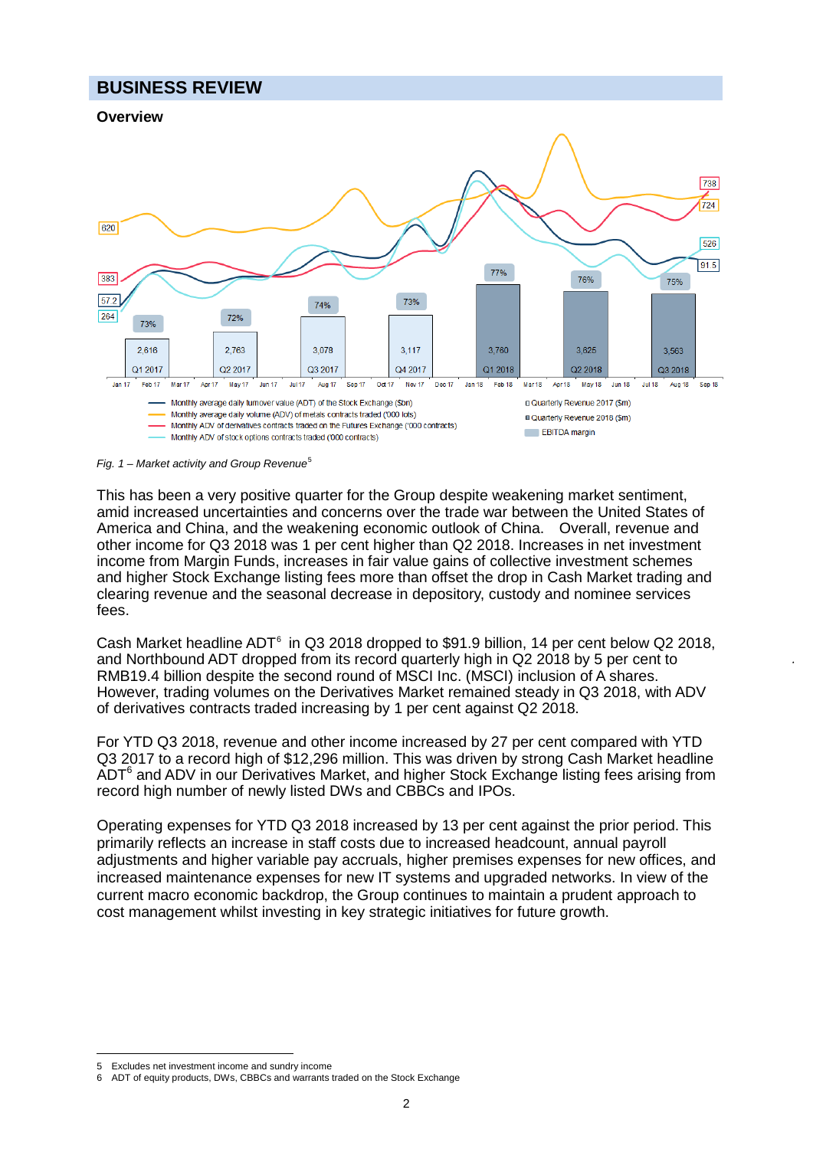# **BUSINESS REVIEW**



*Fig. 1 – Market activity and Group Revenue*[5](#page-1-0)

This has been a very positive quarter for the Group despite weakening market sentiment, amid increased uncertainties and concerns over the trade war between the United States of America and China, and the weakening economic outlook of China. Overall, revenue and other income for Q3 2018 was 1 per cent higher than Q2 2018. Increases in net investment income from Margin Funds, increases in fair value gains of collective investment schemes and higher Stock Exchange listing fees more than offset the drop in Cash Market trading and clearing revenue and the seasonal decrease in depository, custody and nominee services fees.

Cash Market headline ADT<sup>[6](#page-1-1)</sup> in Q3 2018 dropped to \$91.9 billion, 14 per cent below Q2 2018, and Northbound ADT dropped from its record quarterly high in Q2 2018 by 5 per cent to RMB19.4 billion despite the second round of MSCI Inc. (MSCI) inclusion of A shares. However, trading volumes on the Derivatives Market remained steady in Q3 2018, with ADV of derivatives contracts traded increasing by 1 per cent against Q2 2018.

For YTD Q3 2018, revenue and other income increased by 27 per cent compared with YTD Q3 2017 to a record high of \$12,296 million. This was driven by strong Cash Market headline ADT<sup>6</sup> and ADV in our Derivatives Market, and higher Stock Exchange listing fees arising from record high number of newly listed DWs and CBBCs and IPOs.

Operating expenses for YTD Q3 2018 increased by 13 per cent against the prior period. This primarily reflects an increase in staff costs due to increased headcount, annual payroll adjustments and higher variable pay accruals, higher premises expenses for new offices, and increased maintenance expenses for new IT systems and upgraded networks. In view of the current macro economic backdrop, the Group continues to maintain a prudent approach to cost management whilst investing in key strategic initiatives for future growth.

<sup>-</sup>5 Excludes net investment income and sundry income

<span id="page-1-1"></span><span id="page-1-0"></span><sup>6</sup> ADT of equity products, DWs, CBBCs and warrants traded on the Stock Exchange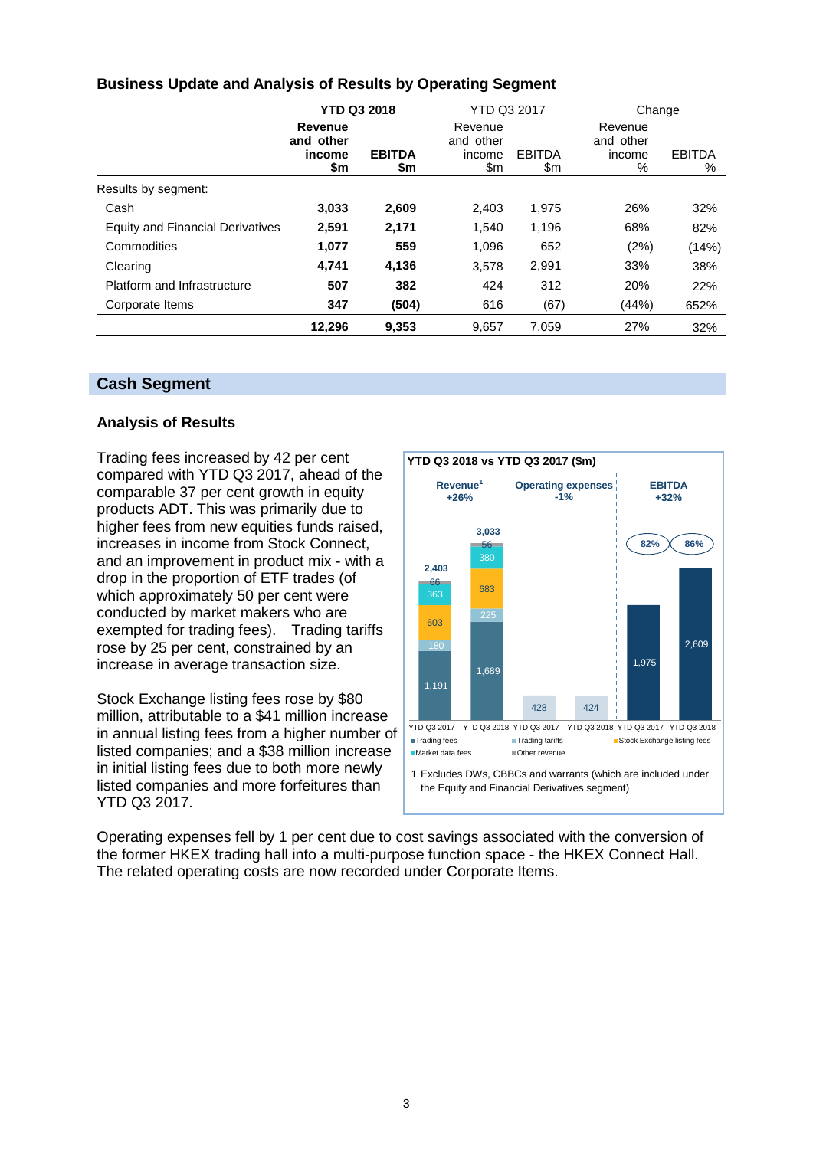| <b>Business Update and Analysis of Results by Operating Segment</b> |  |  |
|---------------------------------------------------------------------|--|--|
|---------------------------------------------------------------------|--|--|

|                                         | <b>YTD Q3 2018</b>                    |                      | <b>YTD Q3 2017</b>                    |                      |                                     | Change             |  |
|-----------------------------------------|---------------------------------------|----------------------|---------------------------------------|----------------------|-------------------------------------|--------------------|--|
|                                         | Revenue<br>and other<br>income<br>\$m | <b>EBITDA</b><br>\$m | Revenue<br>and other<br>income<br>\$m | <b>EBITDA</b><br>\$m | Revenue<br>and other<br>income<br>% | <b>EBITDA</b><br>℅ |  |
| Results by segment:                     |                                       |                      |                                       |                      |                                     |                    |  |
| Cash                                    | 3,033                                 | 2,609                | 2,403                                 | 1,975                | 26%                                 | 32%                |  |
| <b>Equity and Financial Derivatives</b> | 2,591                                 | 2.171                | 1,540                                 | 1,196                | 68%                                 | 82%                |  |
| Commodities                             | 1,077                                 | 559                  | 1,096                                 | 652                  | (2%)                                | (14%)              |  |
| Clearing                                | 4,741                                 | 4,136                | 3,578                                 | 2,991                | 33%                                 | 38%                |  |
| Platform and Infrastructure             | 507                                   | 382                  | 424                                   | 312                  | 20%                                 | 22%                |  |
| Corporate Items                         | 347                                   | (504)                | 616                                   | (67)                 | (44%)                               | 652%               |  |
|                                         | 12,296                                | 9,353                | 9,657                                 | 7,059                | 27%                                 | 32%                |  |

### **Cash Segment**

#### **Analysis of Results**

Trading fees increased by 42 per cent compared with YTD Q3 2017, ahead of the comparable 37 per cent growth in equity products ADT. This was primarily due to higher fees from new equities funds raised, increases in income from Stock Connect, and an improvement in product mix - with a drop in the proportion of ETF trades (of which approximately 50 per cent were conducted by market makers who are exempted for trading fees). Trading tariffs rose by 25 per cent, constrained by an increase in average transaction size.

Stock Exchange listing fees rose by \$80 million, attributable to a \$41 million increase in annual listing fees from a higher number of listed companies; and a \$38 million increase in initial listing fees due to both more newly listed companies and more forfeitures than YTD Q3 2017.



Operating expenses fell by 1 per cent due to cost savings associated with the conversion of the former HKEX trading hall into a multi-purpose function space - the HKEX Connect Hall. The related operating costs are now recorded under Corporate Items.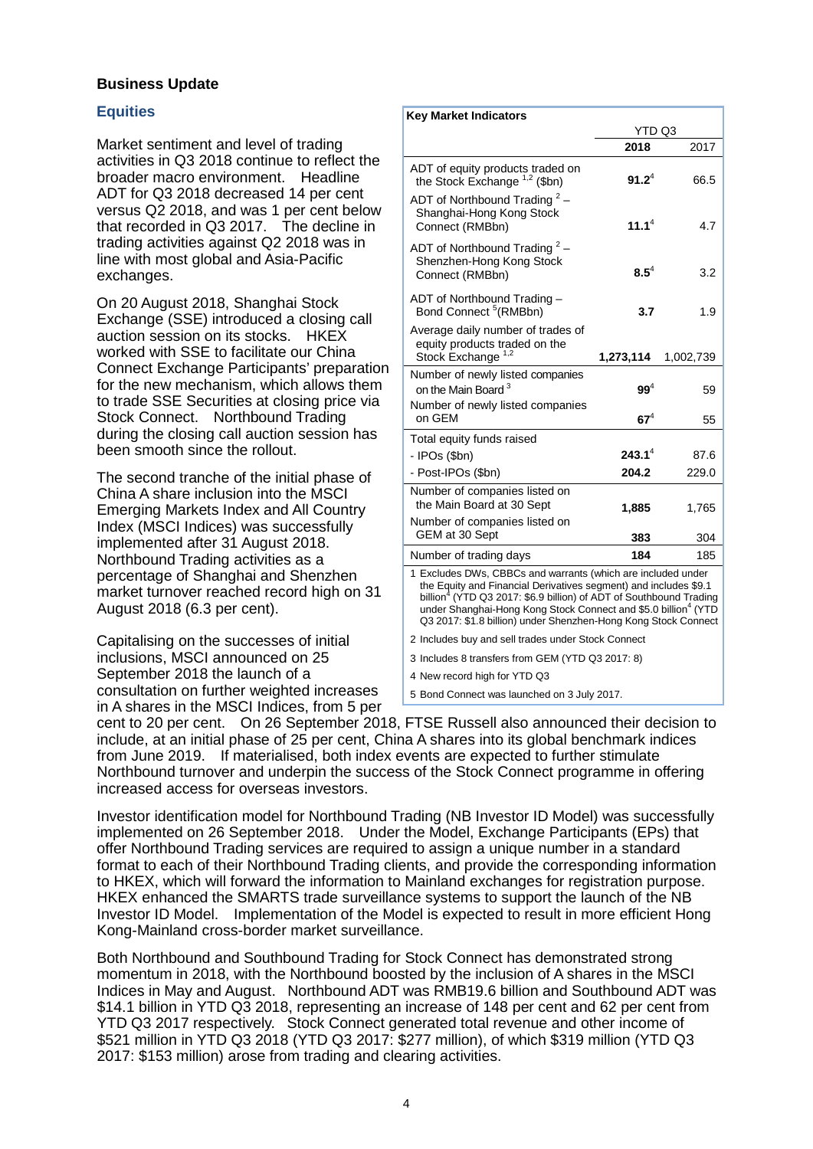#### **Business Update**

#### **Equities**

Market sentiment and level of trading activities in Q3 2018 continue to reflect the broader macro environment. Headline ADT for Q3 2018 decreased 14 per cent versus Q2 2018, and was 1 per cent below that recorded in Q3 2017. The decline in trading activities against Q2 2018 was in line with most global and Asia-Pacific exchanges.

On 20 August 2018, Shanghai Stock Exchange (SSE) introduced a closing call auction session on its stocks. HKEX worked with SSE to facilitate our China Connect Exchange Participants' preparation for the new mechanism, which allows them to trade SSE Securities at closing price via Stock Connect. Northbound Trading during the closing call auction session has been smooth since the rollout.

The second tranche of the initial phase of China A share inclusion into the MSCI Emerging Markets Index and All Country Index (MSCI Indices) was successfully implemented after 31 August 2018. Northbound Trading activities as a percentage of Shanghai and Shenzhen market turnover reached record high on 31 August 2018 (6.3 per cent).

Capitalising on the successes of initial inclusions, MSCI announced on 25 September 2018 the launch of a consultation on further weighted increases in A shares in the MSCI Indices, from 5 per

| <b>Key Market Indicators</b>                                                                                                                                                                                                                                                                                                                                       |           |           |
|--------------------------------------------------------------------------------------------------------------------------------------------------------------------------------------------------------------------------------------------------------------------------------------------------------------------------------------------------------------------|-----------|-----------|
|                                                                                                                                                                                                                                                                                                                                                                    | YTD Q3    |           |
|                                                                                                                                                                                                                                                                                                                                                                    | 2018      | 2017      |
| ADT of equity products traded on<br>the Stock Exchange $1,2$ (\$bn)                                                                                                                                                                                                                                                                                                | $91.2^4$  | 66.5      |
| ADT of Northbound Trading $2 -$<br>Shanghai-Hong Kong Stock<br>Connect (RMBbn)                                                                                                                                                                                                                                                                                     | $11.1^4$  | 4.7       |
| ADT of Northbound Trading $2 -$<br>Shenzhen-Hong Kong Stock<br>Connect (RMBbn)                                                                                                                                                                                                                                                                                     | $8.5^{4}$ | 3.2       |
| ADT of Northbound Trading -<br>Bond Connect <sup>5</sup> (RMBbn)                                                                                                                                                                                                                                                                                                   | 3.7       | 1.9       |
| Average daily number of trades of<br>equity products traded on the<br>Stock Exchange <sup>1,2</sup>                                                                                                                                                                                                                                                                | 1,273,114 | 1,002,739 |
| Number of newly listed companies<br>on the Main Board <sup>3</sup>                                                                                                                                                                                                                                                                                                 | $99^4$    | 59        |
| Number of newly listed companies<br>on GEM                                                                                                                                                                                                                                                                                                                         | $67^4$    | 55        |
| Total equity funds raised                                                                                                                                                                                                                                                                                                                                          |           |           |
| - IPOs (\$bn)                                                                                                                                                                                                                                                                                                                                                      | $243.1^4$ | 87.6      |
| - Post-IPOs (\$bn)                                                                                                                                                                                                                                                                                                                                                 | 204.2     | 229.0     |
| Number of companies listed on<br>the Main Board at 30 Sept<br>Number of companies listed on                                                                                                                                                                                                                                                                        | 1,885     | 1,765     |
| GEM at 30 Sept                                                                                                                                                                                                                                                                                                                                                     | 383       | 304       |
| Number of trading days                                                                                                                                                                                                                                                                                                                                             | 184       | 185       |
| 1 Excludes DWs, CBBCs and warrants (which are included under<br>the Equity and Financial Derivatives segment) and includes \$9.1<br>billion <sup>4</sup> (YTD Q3 2017: \$6.9 billion) of ADT of Southbound Trading<br>under Shanghai-Hong Kong Stock Connect and \$5.0 billion <sup>4</sup> (YTD<br>Q3 2017: \$1.8 billion) under Shenzhen-Hong Kong Stock Connect |           |           |
| 2 Includes buy and sell trades under Stock Connect                                                                                                                                                                                                                                                                                                                 |           |           |
| 3 Includes 8 transfers from GEM (YTD Q3 2017: 8)                                                                                                                                                                                                                                                                                                                   |           |           |
| 4 New record high for YTD Q3                                                                                                                                                                                                                                                                                                                                       |           |           |
| 5 Bond Connect was launched on 3 July 2017.                                                                                                                                                                                                                                                                                                                        |           |           |

cent to 20 per cent. On 26 September 2018, FTSE Russell also announced their decision to include, at an initial phase of 25 per cent, China A shares into its global benchmark indices from June 2019. If materialised, both index events are expected to further stimulate Northbound turnover and underpin the success of the Stock Connect programme in offering increased access for overseas investors.

Investor identification model for Northbound Trading (NB Investor ID Model) was successfully implemented on 26 September 2018. Under the Model, Exchange Participants (EPs) that offer Northbound Trading services are required to assign a unique number in a standard format to each of their Northbound Trading clients, and provide the corresponding information to HKEX, which will forward the information to Mainland exchanges for registration purpose. HKEX enhanced the SMARTS trade surveillance systems to support the launch of the NB Investor ID Model. Implementation of the Model is expected to result in more efficient Hong Kong-Mainland cross-border market surveillance.

Both Northbound and Southbound Trading for Stock Connect has demonstrated strong momentum in 2018, with the Northbound boosted by the inclusion of A shares in the MSCI Indices in May and August. Northbound ADT was RMB19.6 billion and Southbound ADT was \$14.1 billion in YTD Q3 2018, representing an increase of 148 per cent and 62 per cent from YTD Q3 2017 respectively. Stock Connect generated total revenue and other income of \$521 million in YTD Q3 2018 (YTD Q3 2017: \$277 million), of which \$319 million (YTD Q3 2017: \$153 million) arose from trading and clearing activities.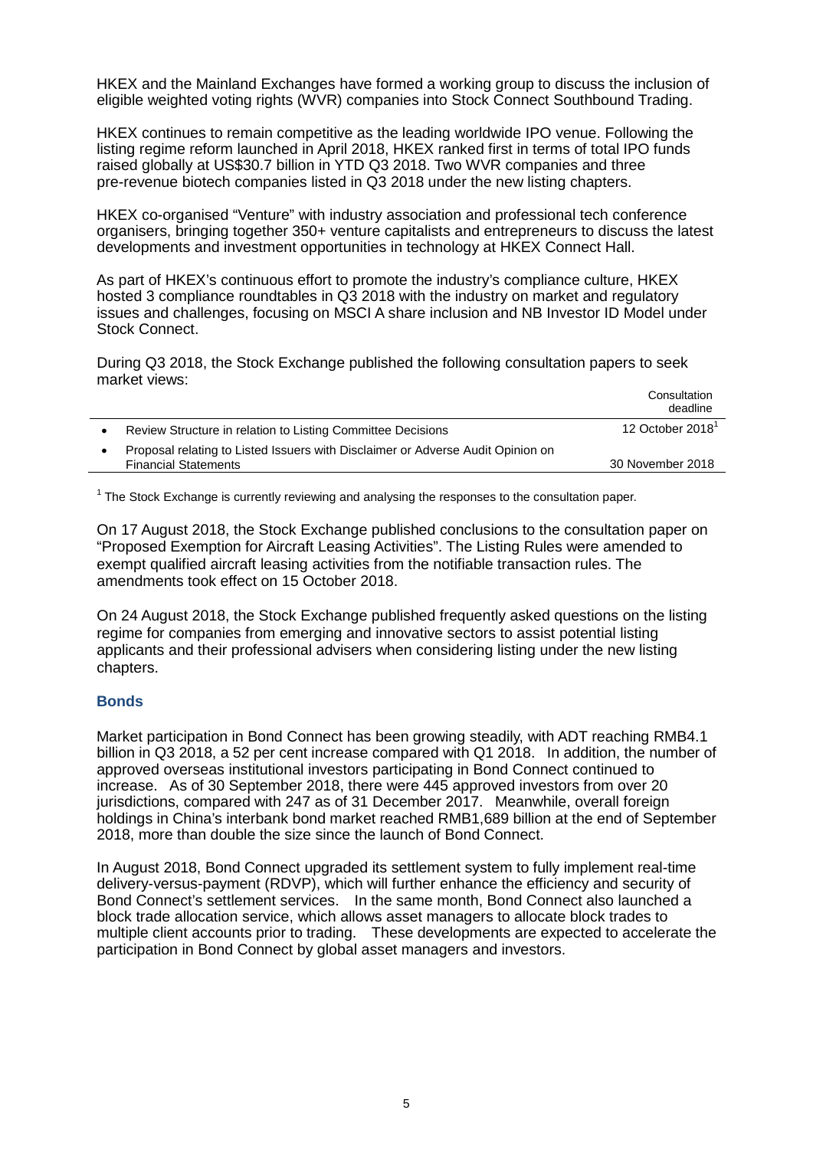HKEX and the Mainland Exchanges have formed a working group to discuss the inclusion of eligible weighted voting rights (WVR) companies into Stock Connect Southbound Trading.

HKEX continues to remain competitive as the leading worldwide IPO venue. Following the listing regime reform launched in April 2018, HKEX ranked first in terms of total IPO funds raised globally at US\$30.7 billion in YTD Q3 2018. Two WVR companies and three pre-revenue biotech companies listed in Q3 2018 under the new listing chapters.

HKEX co-organised "Venture" with industry association and professional tech conference organisers, bringing together 350+ venture capitalists and entrepreneurs to discuss the latest developments and investment opportunities in technology at HKEX Connect Hall.

As part of HKEX's continuous effort to promote the industry's compliance culture, HKEX hosted 3 compliance roundtables in Q3 2018 with the industry on market and regulatory issues and challenges, focusing on MSCI A share inclusion and NB Investor ID Model under Stock Connect.

During Q3 2018, the Stock Exchange published the following consultation papers to seek market views:

|                                                                                                                | Consultation<br>deadline     |
|----------------------------------------------------------------------------------------------------------------|------------------------------|
| Review Structure in relation to Listing Committee Decisions                                                    | 12 October 2018 <sup>1</sup> |
| Proposal relating to Listed Issuers with Disclaimer or Adverse Audit Opinion on<br><b>Financial Statements</b> | 30 November 2018             |
|                                                                                                                |                              |

<sup>1</sup> The Stock Exchange is currently reviewing and analysing the responses to the consultation paper.

On 17 August 2018, the Stock Exchange published conclusions to the consultation paper on "Proposed Exemption for Aircraft Leasing Activities". The Listing Rules were amended to exempt qualified aircraft leasing activities from the notifiable transaction rules. The amendments took effect on 15 October 2018.

On 24 August 2018, the Stock Exchange published frequently asked questions on the listing regime for companies from emerging and innovative sectors to assist potential listing applicants and their professional advisers when considering listing under the new listing chapters.

#### **Bonds**

Market participation in Bond Connect has been growing steadily, with ADT reaching RMB4.1 billion in Q3 2018, a 52 per cent increase compared with Q1 2018. In addition, the number of approved overseas institutional investors participating in Bond Connect continued to increase. As of 30 September 2018, there were 445 approved investors from over 20 jurisdictions, compared with 247 as of 31 December 2017. Meanwhile, overall foreign holdings in China's interbank bond market reached RMB1,689 billion at the end of September 2018, more than double the size since the launch of Bond Connect.

In August 2018, Bond Connect upgraded its settlement system to fully implement real-time delivery-versus-payment (RDVP), which will further enhance the efficiency and security of Bond Connect's settlement services. In the same month, Bond Connect also launched a block trade allocation service, which allows asset managers to allocate block trades to multiple client accounts prior to trading. These developments are expected to accelerate the participation in Bond Connect by global asset managers and investors.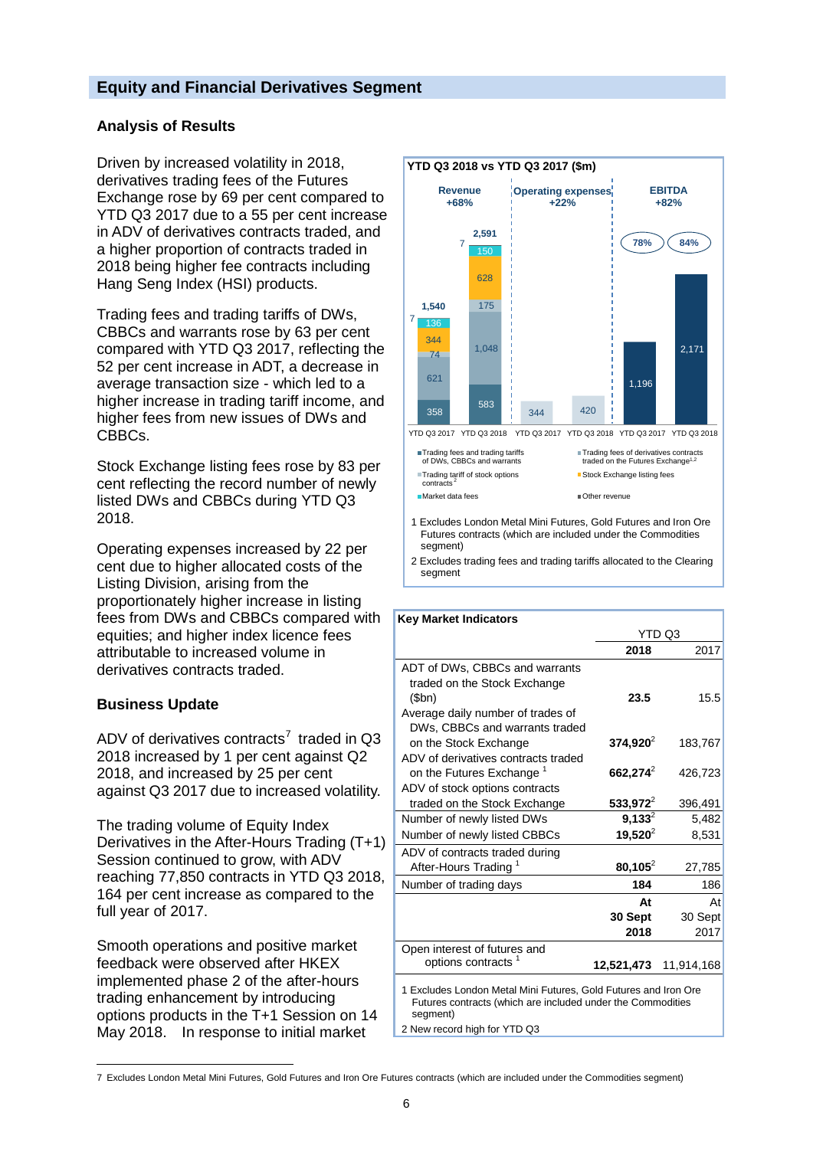### **Equity and Financial Derivatives Segment**

#### **Analysis of Results**

Driven by increased volatility in 2018, derivatives trading fees of the Futures Exchange rose by 69 per cent compared to YTD Q3 2017 due to a 55 per cent increase in ADV of derivatives contracts traded, and a higher proportion of contracts traded in 2018 being higher fee contracts including Hang Seng Index (HSI) products.

Trading fees and trading tariffs of DWs, CBBCs and warrants rose by 63 per cent compared with YTD Q3 2017, reflecting the 52 per cent increase in ADT, a decrease in average transaction size - which led to a higher increase in trading tariff income, and higher fees from new issues of DWs and CBBCs.

Stock Exchange listing fees rose by 83 per cent reflecting the record number of newly listed DWs and CBBCs during YTD Q3 2018.

Operating expenses increased by 22 per cent due to higher allocated costs of the Listing Division, arising from the proportionately higher increase in listing fees from DWs and CBBCs compared with equities; and higher index licence fees attributable to increased volume in derivatives contracts traded.

#### **Business Update**

-

ADV of derivatives contracts<sup>[7](#page-5-0)</sup> traded in  $O3$ 2018 increased by 1 per cent against Q2 2018, and increased by 25 per cent against Q3 2017 due to increased volatility.

The trading volume of Equity Index Derivatives in the After-Hours Trading (T+1) Session continued to grow, with ADV reaching 77,850 contracts in YTD Q3 2018, 164 per cent increase as compared to the full year of 2017.

Smooth operations and positive market feedback were observed after HKEX implemented phase 2 of the after-hours trading enhancement by introducing options products in the T+1 Session on 14 May 2018. In response to initial market



1 Excludes London Metal Mini Futures, Gold Futures and Iron Ore Futures contracts (which are included under the Commodities segment)

2 Excludes trading fees and trading tariffs allocated to the Clearing segment

| <b>Key Market Indicators</b>                                                                                                   |             |            |  |  |
|--------------------------------------------------------------------------------------------------------------------------------|-------------|------------|--|--|
|                                                                                                                                |             | YTD Q3     |  |  |
|                                                                                                                                | 2018        | 2017       |  |  |
| ADT of DWs, CBBCs and warrants                                                                                                 |             |            |  |  |
| traded on the Stock Exchange                                                                                                   |             |            |  |  |
| (\$bn)                                                                                                                         | 23.5        | 15.5       |  |  |
| Average daily number of trades of                                                                                              |             |            |  |  |
| DWs, CBBCs and warrants traded                                                                                                 |             |            |  |  |
| on the Stock Exchange                                                                                                          | $374,920^2$ | 183,767    |  |  |
| ADV of derivatives contracts traded                                                                                            |             |            |  |  |
| on the Futures Exchange <sup>1</sup>                                                                                           | $662,274^2$ | 426,723    |  |  |
| ADV of stock options contracts                                                                                                 |             |            |  |  |
| traded on the Stock Exchange                                                                                                   | $533,972^2$ | 396,491    |  |  |
| Number of newly listed DWs                                                                                                     | $9,133^2$   | 5,482      |  |  |
| Number of newly listed CBBCs                                                                                                   | $19,520^2$  | 8,531      |  |  |
| ADV of contracts traded during                                                                                                 |             |            |  |  |
| After-Hours Trading <sup>1</sup>                                                                                               | $80,105^2$  | 27,785     |  |  |
| Number of trading days                                                                                                         | 184         | 186        |  |  |
|                                                                                                                                | At          | At         |  |  |
|                                                                                                                                | 30 Sept     | 30 Sept    |  |  |
|                                                                                                                                | 2018        | 2017       |  |  |
| Open interest of futures and                                                                                                   |             |            |  |  |
| options contracts <sup>1</sup>                                                                                                 | 12,521,473  | 11,914,168 |  |  |
| 1 Excludes London Metal Mini Futures, Gold Futures and Iron Ore<br>Futures contracts (which are included under the Commodities |             |            |  |  |

segment)

2 New record high for YTD Q3

<span id="page-5-0"></span><sup>7</sup> Excludes London Metal Mini Futures, Gold Futures and Iron Ore Futures contracts (which are included under the Commodities segment)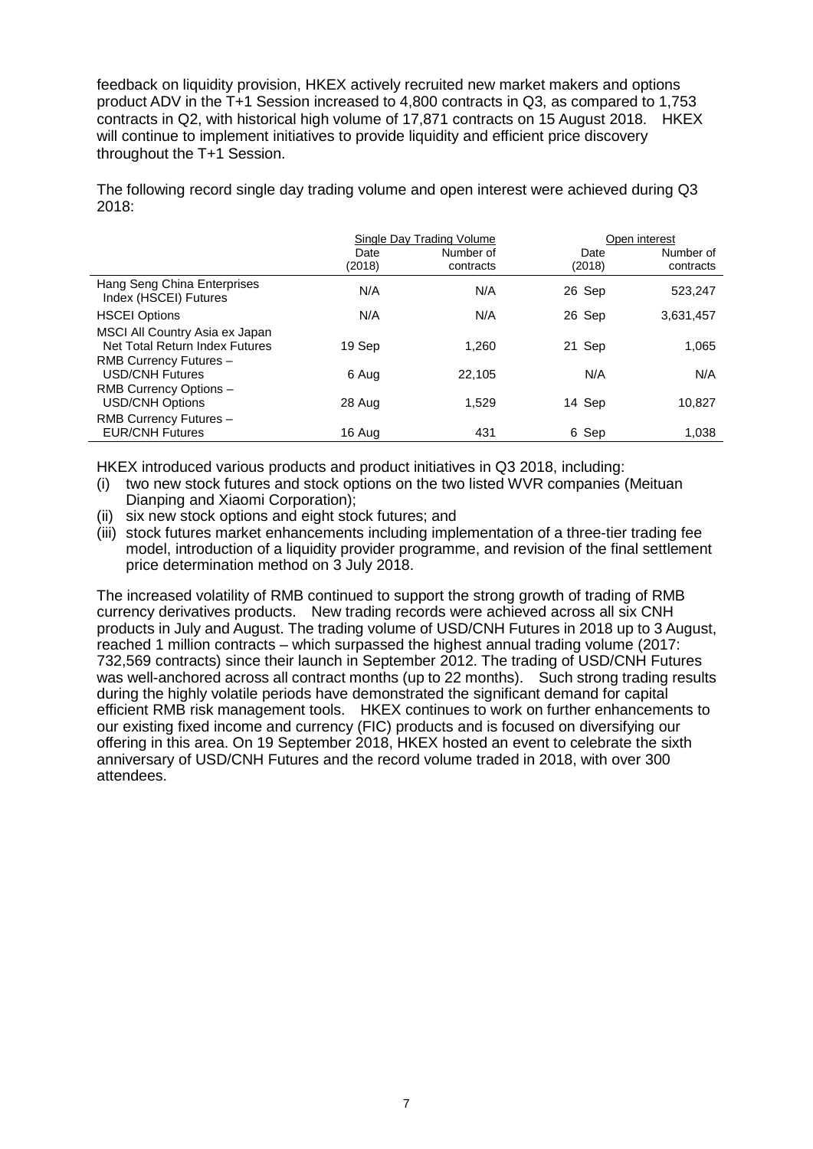feedback on liquidity provision, HKEX actively recruited new market makers and options product ADV in the T+1 Session increased to 4,800 contracts in Q3, as compared to 1,753 contracts in Q2, with historical high volume of 17,871 contracts on 15 August 2018. HKEX will continue to implement initiatives to provide liquidity and efficient price discovery throughout the T+1 Session.

The following record single day trading volume and open interest were achieved during Q3 2018:

|                                                                                            |                | Single Day Trading Volume | Open interest  |                        |  |
|--------------------------------------------------------------------------------------------|----------------|---------------------------|----------------|------------------------|--|
|                                                                                            | Date<br>(2018) | Number of<br>contracts    | Date<br>(2018) | Number of<br>contracts |  |
| Hang Seng China Enterprises<br>Index (HSCEI) Futures                                       | N/A            | N/A                       | 26 Sep         | 523,247                |  |
| <b>HSCEI Options</b>                                                                       | N/A            | N/A                       | 26 Sep         | 3,631,457              |  |
| MSCI All Country Asia ex Japan<br>Net Total Return Index Futures<br>RMB Currency Futures - | 19 Sep         | 1.260                     | 21 Sep         | 1,065                  |  |
| <b>USD/CNH Futures</b>                                                                     | 6 Aug          | 22,105                    | N/A            | N/A                    |  |
| RMB Currency Options -<br><b>USD/CNH Options</b>                                           | 28 Aug         | 1.529                     | 14 Sep         | 10.827                 |  |
| RMB Currency Futures -<br><b>EUR/CNH Futures</b>                                           | 16 Aug         | 431                       | 6 Sep          | 1,038                  |  |

HKEX introduced various products and product initiatives in Q3 2018, including:<br>(i) two new stock futures and stock options on the two listed WVR companies (

- two new stock futures and stock options on the two listed WVR companies (Meituan Dianping and Xiaomi Corporation);
- six new stock options and eight stock futures; and
- (iii) stock futures market enhancements including implementation of a three-tier trading fee model, introduction of a liquidity provider programme, and revision of the final settlement price determination method on 3 July 2018.

The increased volatility of RMB continued to support the strong growth of trading of RMB currency derivatives products. New trading records were achieved across all six CNH products in July and August. The trading volume of USD/CNH Futures in 2018 up to 3 August, reached 1 million contracts – which surpassed the highest annual trading volume (2017: 732,569 contracts) since their launch in September 2012. The trading of USD/CNH Futures was well-anchored across all contract months (up to 22 months). Such strong trading results during the highly volatile periods have demonstrated the significant demand for capital efficient RMB risk management tools. HKEX continues to work on further enhancements to our existing fixed income and currency (FIC) products and is focused on diversifying our offering in this area. On 19 September 2018, HKEX hosted an event to celebrate the sixth anniversary of USD/CNH Futures and the record volume traded in 2018, with over 300 attendees.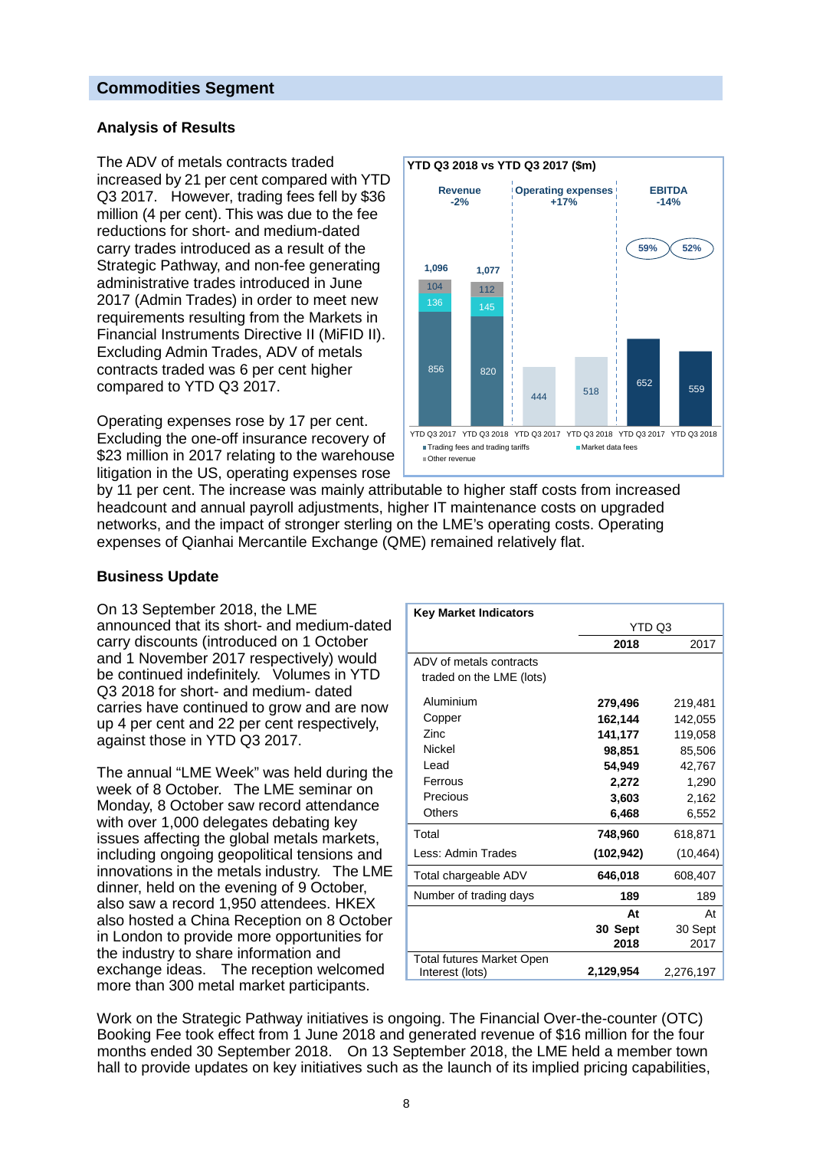#### **Commodities Segment**

#### **Analysis of Results**

The ADV of metals contracts traded increased by 21 per cent compared with YTD Q3 2017. However, trading fees fell by \$36 million (4 per cent). This was due to the fee reductions for short- and medium-dated carry trades introduced as a result of the Strategic Pathway, and non-fee generating administrative trades introduced in June 2017 (Admin Trades) in order to meet new requirements resulting from the Markets in Financial Instruments Directive II (MiFID II). Excluding Admin Trades, ADV of metals contracts traded was 6 per cent higher compared to YTD Q3 2017.

Operating expenses rose by 17 per cent. Excluding the one-off insurance recovery of \$23 million in 2017 relating to the warehouse litigation in the US, operating expenses rose



by 11 per cent. The increase was mainly attributable to higher staff costs from increased headcount and annual payroll adjustments, higher IT maintenance costs on upgraded networks, and the impact of stronger sterling on the LME's operating costs. Operating expenses of Qianhai Mercantile Exchange (QME) remained relatively flat.

#### **Business Update**

On 13 September 2018, the LME announced that its short- and medium-dated carry discounts (introduced on 1 October and 1 November 2017 respectively) would be continued indefinitely. Volumes in YTD Q3 2018 for short- and medium- dated carries have continued to grow and are now up 4 per cent and 22 per cent respectively, against those in YTD Q3 2017.

The annual "LME Week" was held during the week of 8 October. The LME seminar on Monday, 8 October saw record attendance with over 1,000 delegates debating key issues affecting the global metals markets, including ongoing geopolitical tensions and innovations in the metals industry. The LME dinner, held on the evening of 9 October, also saw a record 1,950 attendees. HKEX also hosted a China Reception on 8 October in London to provide more opportunities for the industry to share information and exchange ideas. The reception welcomed more than 300 metal market participants.

| <b>Key Market Indicators</b>     |           |           |
|----------------------------------|-----------|-----------|
|                                  | YTD Q3    |           |
|                                  | 2018      | 2017      |
| ADV of metals contracts          |           |           |
| traded on the LME (lots)         |           |           |
| Aluminium                        | 279,496   | 219,481   |
| Copper                           | 162,144   | 142,055   |
| Zinc                             | 141,177   | 119,058   |
| Nickel                           | 98,851    | 85,506    |
| Lead                             | 54,949    | 42,767    |
| Ferrous                          | 2,272     | 1,290     |
| Precious                         | 3,603     | 2,162     |
| Others                           | 6,468     | 6,552     |
| Total                            | 748,960   | 618,871   |
| Less: Admin Trades               | (102,942) | (10, 464) |
| Total chargeable ADV             | 646,018   | 608,407   |
| Number of trading days           | 189       | 189       |
|                                  | At        | At        |
|                                  | 30 Sept   | 30 Sept   |
|                                  | 2018      | 2017      |
| <b>Total futures Market Open</b> |           |           |
| Interest (lots)                  | 2,129,954 | 2,276,197 |

Work on the Strategic Pathway initiatives is ongoing. The Financial Over-the-counter (OTC) Booking Fee took effect from 1 June 2018 and generated revenue of \$16 million for the four months ended 30 September 2018. On 13 September 2018, the LME held a member town hall to provide updates on key initiatives such as the launch of its implied pricing capabilities,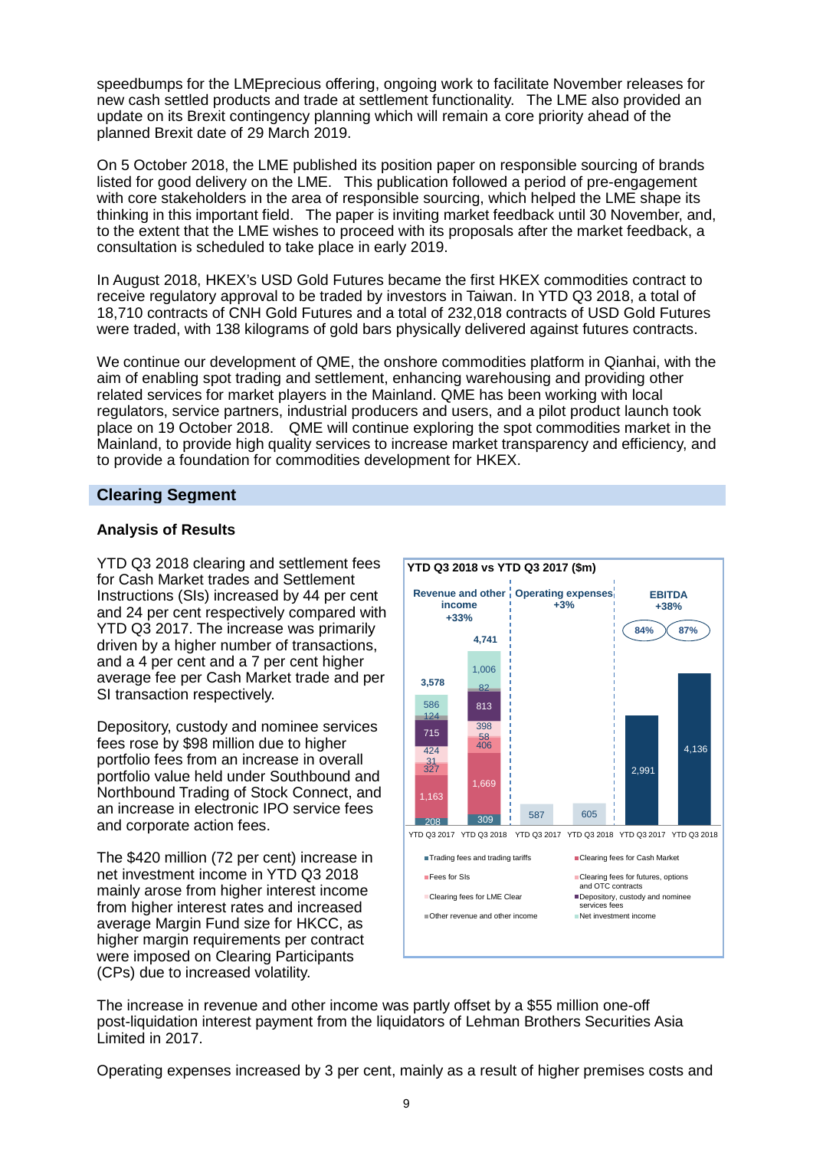speedbumps for the LMEprecious offering, ongoing work to facilitate November releases for new cash settled products and trade at settlement functionality. The LME also provided an update on its Brexit contingency planning which will remain a core priority ahead of the planned Brexit date of 29 March 2019.

On 5 October 2018, the LME published its position paper on responsible sourcing of brands listed for good delivery on the LME. This publication followed a period of pre-engagement with core stakeholders in the area of responsible sourcing, which helped the LME shape its thinking in this important field. The paper is inviting market feedback until 30 November, and, to the extent that the LME wishes to proceed with its proposals after the market feedback, a consultation is scheduled to take place in early 2019.

In August 2018, HKEX's USD Gold Futures became the first HKEX commodities contract to receive regulatory approval to be traded by investors in Taiwan. In YTD Q3 2018, a total of 18,710 contracts of CNH Gold Futures and a total of 232,018 contracts of USD Gold Futures were traded, with 138 kilograms of gold bars physically delivered against futures contracts.

We continue our development of QME, the onshore commodities platform in Qianhai, with the aim of enabling spot trading and settlement, enhancing warehousing and providing other related services for market players in the Mainland. QME has been working with local regulators, service partners, industrial producers and users, and a pilot product launch took place on 19 October 2018. QME will continue exploring the spot commodities market in the Mainland, to provide high quality services to increase market transparency and efficiency, and to provide a foundation for commodities development for HKEX.

### **Clearing Segment**

### **Analysis of Results**

YTD Q3 2018 clearing and settlement fees for Cash Market trades and Settlement Instructions (SIs) increased by 44 per cent and 24 per cent respectively compared with YTD Q3 2017. The increase was primarily driven by a higher number of transactions, and a 4 per cent and a 7 per cent higher average fee per Cash Market trade and per SI transaction respectively.

Depository, custody and nominee services fees rose by \$98 million due to higher portfolio fees from an increase in overall portfolio value held under Southbound and Northbound Trading of Stock Connect, and an increase in electronic IPO service fees and corporate action fees.

The \$420 million (72 per cent) increase in net investment income in YTD Q3 2018 mainly arose from higher interest income from higher interest rates and increased average Margin Fund size for HKCC, as higher margin requirements per contract were imposed on Clearing Participants (CPs) due to increased volatility.



The increase in revenue and other income was partly offset by a \$55 million one-off post-liquidation interest payment from the liquidators of Lehman Brothers Securities Asia Limited in 2017.

Operating expenses increased by 3 per cent, mainly as a result of higher premises costs and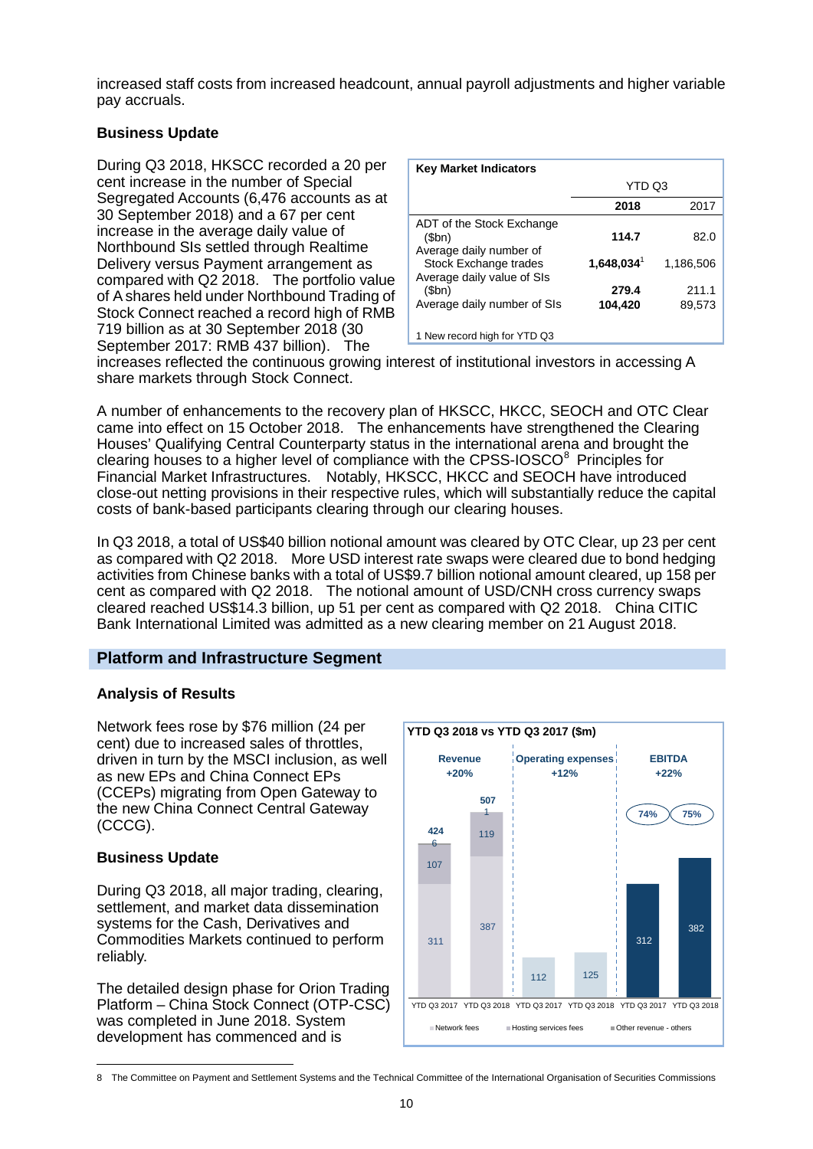increased staff costs from increased headcount, annual payroll adjustments and higher variable pay accruals.

### **Business Update**

During Q3 2018, HKSCC recorded a 20 per cent increase in the number of Special Segregated Accounts (6,476 accounts as at 30 September 2018) and a 67 per cent increase in the average daily value of Northbound SIs settled through Realtime Delivery versus Payment arrangement as compared with Q2 2018. The portfolio value of A shares held under Northbound Trading of Stock Connect reached a record high of RMB 719 billion as at 30 September 2018 (30 September 2017: RMB 437 billion). The

| <b>Key Market Indicators</b>                                  |                     |                 |
|---------------------------------------------------------------|---------------------|-----------------|
|                                                               | YTD Q3              |                 |
|                                                               | 2018                | 2017            |
| ADT of the Stock Exchange<br>\$bn)<br>Average daily number of | 114.7               | 82.0            |
| Stock Exchange trades<br>Average daily value of SIs           | $1,648,034^{\circ}$ | 1,186,506       |
| (5bn)<br>Average daily number of SIs                          | 279.4<br>104,420    | 211.1<br>89.573 |
| 1 New record high for YTD Q3                                  |                     |                 |

increases reflected the continuous growing interest of institutional investors in accessing A share markets through Stock Connect.

A number of enhancements to the recovery plan of HKSCC, HKCC, SEOCH and OTC Clear came into effect on 15 October 2018. The enhancements have strengthened the Clearing Houses' Qualifying Central Counterparty status in the international arena and brought the clearing houses to a higher level of compliance with the CPSS-IOSCO<sup>[8](#page-9-0)</sup> Principles for Financial Market Infrastructures. Notably, HKSCC, HKCC and SEOCH have introduced close-out netting provisions in their respective rules, which will substantially reduce the capital costs of bank-based participants clearing through our clearing houses.

In Q3 2018, a total of US\$40 billion notional amount was cleared by OTC Clear, up 23 per cent as compared with Q2 2018. More USD interest rate swaps were cleared due to bond hedging activities from Chinese banks with a total of US\$9.7 billion notional amount cleared, up 158 per cent as compared with Q2 2018. The notional amount of USD/CNH cross currency swaps cleared reached US\$14.3 billion, up 51 per cent as compared with Q2 2018. China CITIC Bank International Limited was admitted as a new clearing member on 21 August 2018.

# **Platform and Infrastructure Segment**

#### **Analysis of Results**

Network fees rose by \$76 million (24 per cent) due to increased sales of throttles, driven in turn by the MSCI inclusion, as well as new EPs and China Connect EPs (CCEPs) migrating from Open Gateway to the new China Connect Central Gateway (CCCG).

#### **Business Update**

During Q3 2018, all major trading, clearing, settlement, and market data dissemination systems for the Cash, Derivatives and Commodities Markets continued to perform reliably.

The detailed design phase for Orion Trading Platform – China Stock Connect (OTP-CSC) was completed in June 2018. System development has commenced and is



<span id="page-9-0"></span><sup>-</sup>8 The Committee on Payment and Settlement Systems and the Technical Committee of the International Organisation of Securities Commissions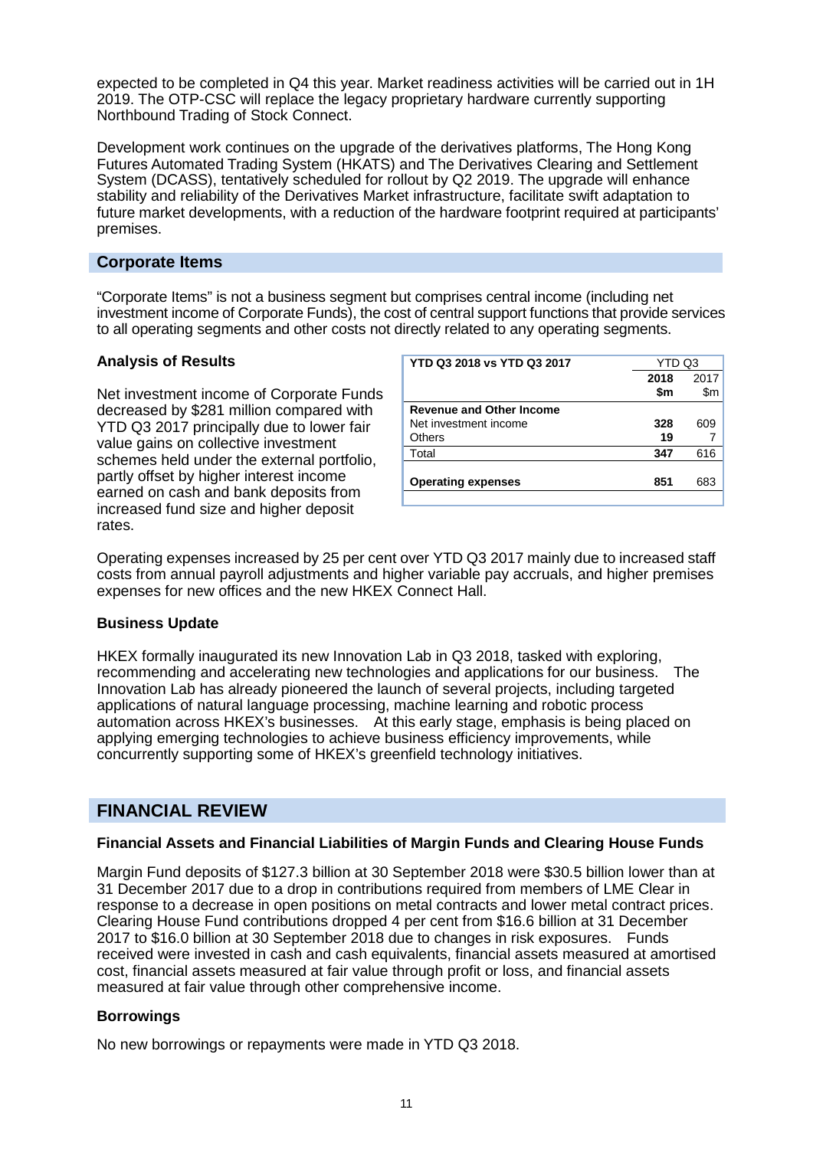expected to be completed in Q4 this year. Market readiness activities will be carried out in 1H 2019. The OTP-CSC will replace the legacy proprietary hardware currently supporting Northbound Trading of Stock Connect.

Development work continues on the upgrade of the derivatives platforms, The Hong Kong Futures Automated Trading System (HKATS) and The Derivatives Clearing and Settlement System (DCASS), tentatively scheduled for rollout by Q2 2019. The upgrade will enhance stability and reliability of the Derivatives Market infrastructure, facilitate swift adaptation to future market developments, with a reduction of the hardware footprint required at participants' premises.

### **Corporate Items**

"Corporate Items" is not a business segment but comprises central income (including net investment income of Corporate Funds), the cost of central support functions that provide services to all operating segments and other costs not directly related to any operating segments.

#### **Analysis of Results**

Net investment income of Corporate Funds decreased by \$281 million compared with YTD Q3 2017 principally due to lower fair value gains on collective investment schemes held under the external portfolio, partly offset by higher interest income earned on cash and bank deposits from increased fund size and higher deposit rates.

| <b>YTD Q3 2018 vs YTD Q3 2017</b> | YTD Q3 |      |
|-----------------------------------|--------|------|
|                                   | 2018   | 2017 |
|                                   | \$m    | \$m  |
| <b>Revenue and Other Income</b>   |        |      |
| Net investment income             | 328    | 609  |
| Others                            | 19     |      |
| Total                             | 347    | 616  |
|                                   |        |      |
| <b>Operating expenses</b>         | 851    | 683  |
|                                   |        |      |

Operating expenses increased by 25 per cent over YTD Q3 2017 mainly due to increased staff costs from annual payroll adjustments and higher variable pay accruals, and higher premises expenses for new offices and the new HKEX Connect Hall.

#### **Business Update**

HKEX formally inaugurated its new Innovation Lab in Q3 2018, tasked with exploring, recommending and accelerating new technologies and applications for our business. The Innovation Lab has already pioneered the launch of several projects, including targeted applications of natural language processing, machine learning and robotic process automation across HKEX's businesses. At this early stage, emphasis is being placed on applying emerging technologies to achieve business efficiency improvements, while concurrently supporting some of HKEX's greenfield technology initiatives.

# **FINANCIAL REVIEW**

#### **Financial Assets and Financial Liabilities of Margin Funds and Clearing House Funds**

Margin Fund deposits of \$127.3 billion at 30 September 2018 were \$30.5 billion lower than at 31 December 2017 due to a drop in contributions required from members of LME Clear in response to a decrease in open positions on metal contracts and lower metal contract prices. Clearing House Fund contributions dropped 4 per cent from \$16.6 billion at 31 December 2017 to \$16.0 billion at 30 September 2018 due to changes in risk exposures. Funds received were invested in cash and cash equivalents, financial assets measured at amortised cost, financial assets measured at fair value through profit or loss, and financial assets measured at fair value through other comprehensive income.

#### **Borrowings**

No new borrowings or repayments were made in YTD Q3 2018.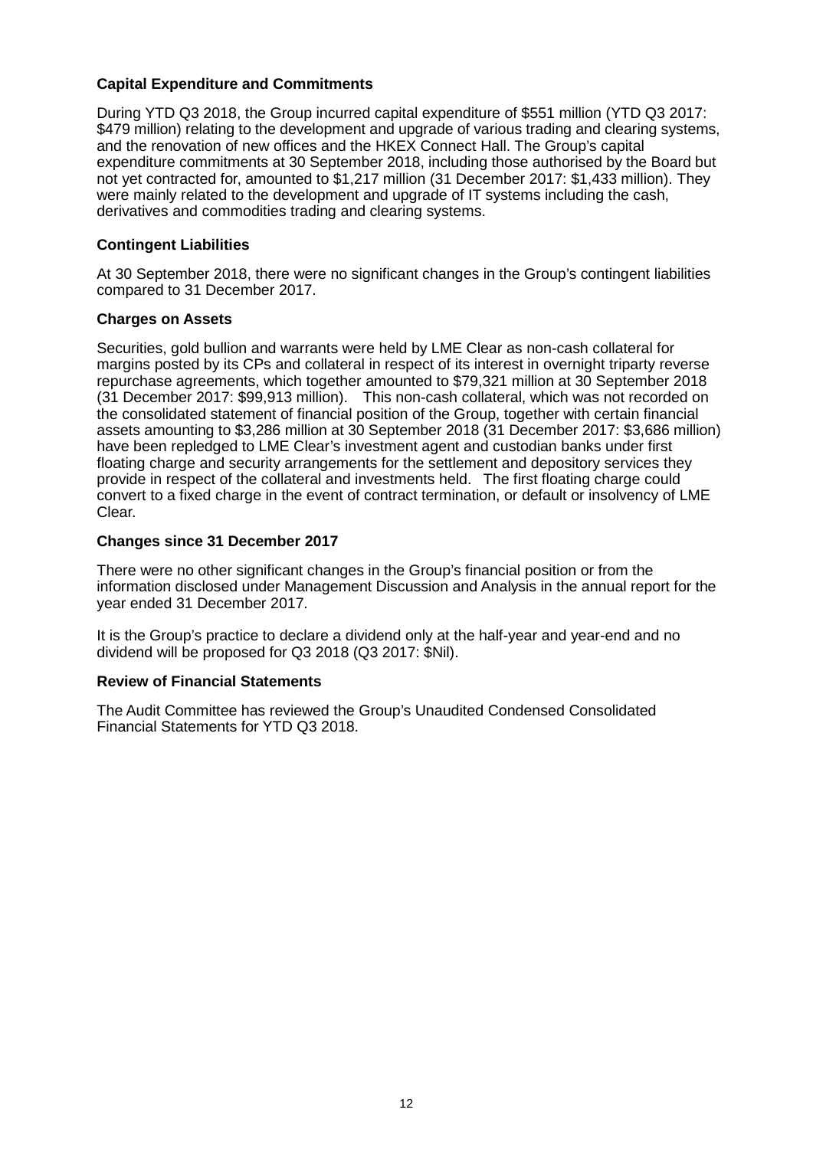#### **Capital Expenditure and Commitments**

During YTD Q3 2018, the Group incurred capital expenditure of \$551 million (YTD Q3 2017: \$479 million) relating to the development and upgrade of various trading and clearing systems, and the renovation of new offices and the HKEX Connect Hall. The Group's capital expenditure commitments at 30 September 2018, including those authorised by the Board but not yet contracted for, amounted to \$1,217 million (31 December 2017: \$1,433 million). They were mainly related to the development and upgrade of IT systems including the cash, derivatives and commodities trading and clearing systems.

#### **Contingent Liabilities**

At 30 September 2018, there were no significant changes in the Group's contingent liabilities compared to 31 December 2017.

#### **Charges on Assets**

Securities, gold bullion and warrants were held by LME Clear as non-cash collateral for margins posted by its CPs and collateral in respect of its interest in overnight triparty reverse repurchase agreements, which together amounted to \$79,321 million at 30 September 2018 (31 December 2017: \$99,913 million). This non-cash collateral, which was not recorded on the consolidated statement of financial position of the Group, together with certain financial assets amounting to \$3,286 million at 30 September 2018 (31 December 2017: \$3,686 million) have been repledged to LME Clear's investment agent and custodian banks under first floating charge and security arrangements for the settlement and depository services they provide in respect of the collateral and investments held. The first floating charge could convert to a fixed charge in the event of contract termination, or default or insolvency of LME Clear.

#### **Changes since 31 December 2017**

There were no other significant changes in the Group's financial position or from the information disclosed under Management Discussion and Analysis in the annual report for the year ended 31 December 2017.

It is the Group's practice to declare a dividend only at the half-year and year-end and no dividend will be proposed for Q3 2018 (Q3 2017: \$Nil).

#### **Review of Financial Statements**

The Audit Committee has reviewed the Group's Unaudited Condensed Consolidated Financial Statements for YTD Q3 2018.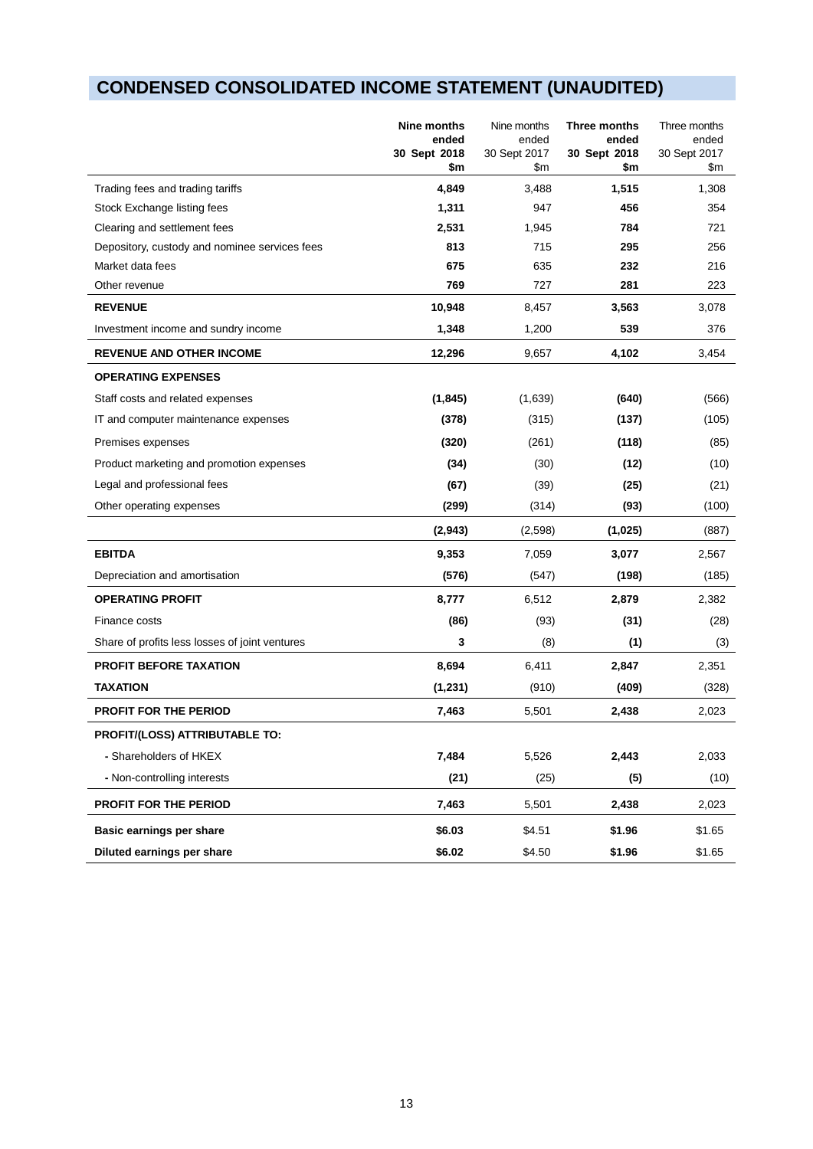# **CONDENSED CONSOLIDATED INCOME STATEMENT (UNAUDITED)**

|                                                | Nine months<br>ended<br>30 Sept 2018<br>\$m | Nine months<br>ended<br>30 Sept 2017<br>\$m | Three months<br>ended<br>30 Sept 2018<br>\$m | Three months<br>ended<br>30 Sept 2017<br>\$m |
|------------------------------------------------|---------------------------------------------|---------------------------------------------|----------------------------------------------|----------------------------------------------|
| Trading fees and trading tariffs               | 4,849                                       | 3,488                                       | 1,515                                        | 1,308                                        |
| Stock Exchange listing fees                    | 1,311                                       | 947                                         | 456                                          | 354                                          |
| Clearing and settlement fees                   | 2,531                                       | 1,945                                       | 784                                          | 721                                          |
| Depository, custody and nominee services fees  | 813                                         | 715                                         | 295                                          | 256                                          |
| Market data fees                               | 675                                         | 635                                         | 232                                          | 216                                          |
| Other revenue                                  | 769                                         | 727                                         | 281                                          | 223                                          |
| <b>REVENUE</b>                                 | 10,948                                      | 8,457                                       | 3,563                                        | 3,078                                        |
| Investment income and sundry income            | 1,348                                       | 1,200                                       | 539                                          | 376                                          |
| <b>REVENUE AND OTHER INCOME</b>                | 12,296                                      | 9,657                                       | 4,102                                        | 3,454                                        |
| <b>OPERATING EXPENSES</b>                      |                                             |                                             |                                              |                                              |
| Staff costs and related expenses               | (1, 845)                                    | (1,639)                                     | (640)                                        | (566)                                        |
| IT and computer maintenance expenses           | (378)                                       | (315)                                       | (137)                                        | (105)                                        |
| Premises expenses                              | (320)                                       | (261)                                       | (118)                                        | (85)                                         |
| Product marketing and promotion expenses       | (34)                                        | (30)                                        | (12)                                         | (10)                                         |
| Legal and professional fees                    | (67)                                        | (39)                                        | (25)                                         | (21)                                         |
| Other operating expenses                       | (299)                                       | (314)                                       | (93)                                         | (100)                                        |
|                                                | (2,943)                                     | (2,598)                                     | (1,025)                                      | (887)                                        |
| <b>EBITDA</b>                                  | 9,353                                       | 7,059                                       | 3,077                                        | 2,567                                        |
| Depreciation and amortisation                  | (576)                                       | (547)                                       | (198)                                        | (185)                                        |
| <b>OPERATING PROFIT</b>                        | 8,777                                       | 6,512                                       | 2,879                                        | 2,382                                        |
| Finance costs                                  | (86)                                        | (93)                                        | (31)                                         | (28)                                         |
| Share of profits less losses of joint ventures | 3                                           | (8)                                         | (1)                                          | (3)                                          |
| <b>PROFIT BEFORE TAXATION</b>                  | 8,694                                       | 6,411                                       | 2,847                                        | 2,351                                        |
| <b>TAXATION</b>                                | (1,231)                                     | (910)                                       | (409)                                        | (328)                                        |
| PROFIT FOR THE PERIOD                          | 7,463                                       | 5,501                                       | 2,438                                        | 2,023                                        |
| PROFIT/(LOSS) ATTRIBUTABLE TO:                 |                                             |                                             |                                              |                                              |
| - Shareholders of HKEX                         | 7,484                                       | 5,526                                       | 2,443                                        | 2,033                                        |
| - Non-controlling interests                    | (21)                                        | (25)                                        | (5)                                          | (10)                                         |
| PROFIT FOR THE PERIOD                          | 7,463                                       | 5,501                                       | 2,438                                        | 2,023                                        |
| Basic earnings per share                       | \$6.03                                      | \$4.51                                      | \$1.96                                       | \$1.65                                       |
| Diluted earnings per share                     | \$6.02                                      | \$4.50                                      | \$1.96                                       | \$1.65                                       |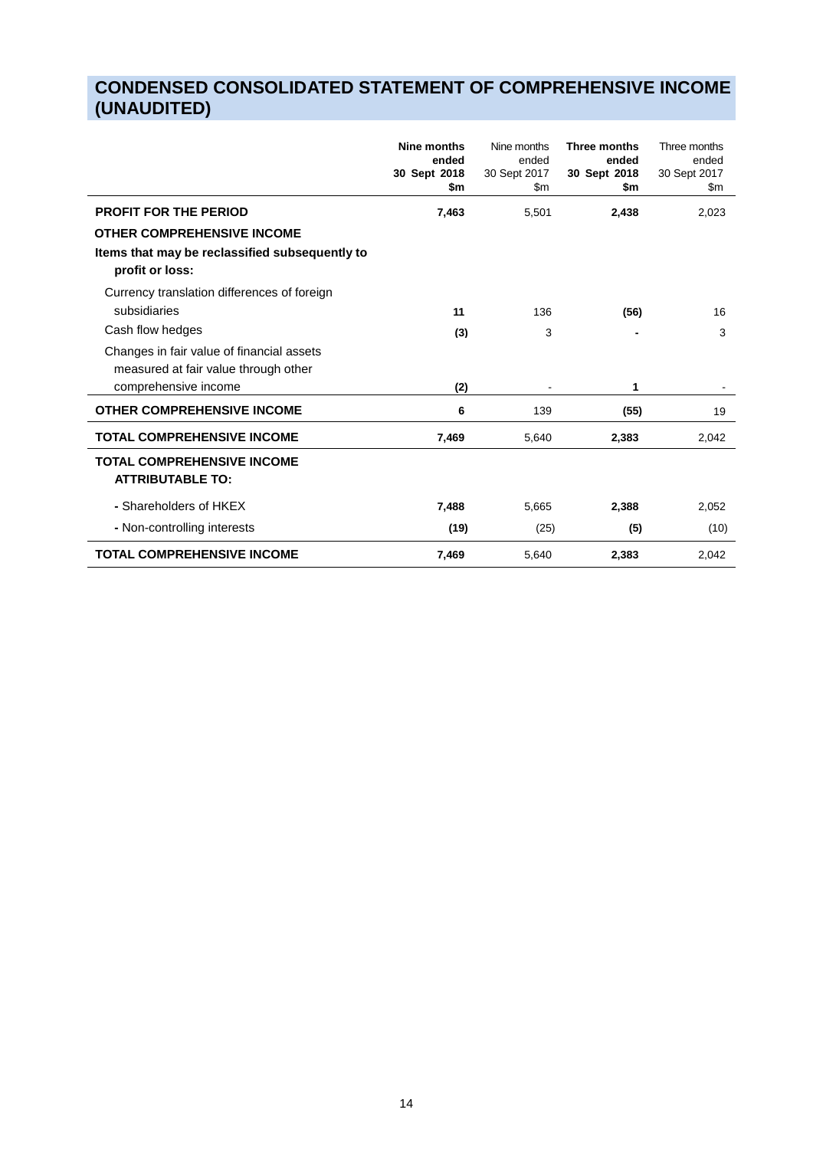# **CONDENSED CONSOLIDATED STATEMENT OF COMPREHENSIVE INCOME (UNAUDITED)**

|                                                                                                                                        | Nine months<br>ended<br>30 Sept 2018<br>\$m | Nine months<br>ended<br>30 Sept 2017<br>\$m | Three months<br>ended<br>30 Sept 2018<br>\$m | Three months<br>ended<br>30 Sept 2017<br>\$m |
|----------------------------------------------------------------------------------------------------------------------------------------|---------------------------------------------|---------------------------------------------|----------------------------------------------|----------------------------------------------|
| <b>PROFIT FOR THE PERIOD</b><br><b>OTHER COMPREHENSIVE INCOME</b><br>Items that may be reclassified subsequently to<br>profit or loss: | 7,463                                       | 5,501                                       | 2,438                                        | 2,023                                        |
| Currency translation differences of foreign<br>subsidiaries<br>Cash flow hedges                                                        | 11<br>(3)                                   | 136<br>3                                    | (56)<br>$\overline{\phantom{0}}$             | 16<br>3                                      |
| Changes in fair value of financial assets<br>measured at fair value through other<br>comprehensive income                              | (2)                                         |                                             | 1                                            |                                              |
| <b>OTHER COMPREHENSIVE INCOME</b>                                                                                                      | 6                                           | 139                                         | (55)                                         | 19                                           |
| <b>TOTAL COMPREHENSIVE INCOME</b>                                                                                                      | 7,469                                       | 5,640                                       | 2,383                                        | 2,042                                        |
| <b>TOTAL COMPREHENSIVE INCOME</b><br><b>ATTRIBUTABLE TO:</b>                                                                           |                                             |                                             |                                              |                                              |
| - Shareholders of HKEX                                                                                                                 | 7,488                                       | 5,665                                       | 2,388                                        | 2,052                                        |
| - Non-controlling interests                                                                                                            | (19)                                        | (25)                                        | (5)                                          | (10)                                         |
| <b>TOTAL COMPREHENSIVE INCOME</b>                                                                                                      | 7,469                                       | 5,640                                       | 2,383                                        | 2,042                                        |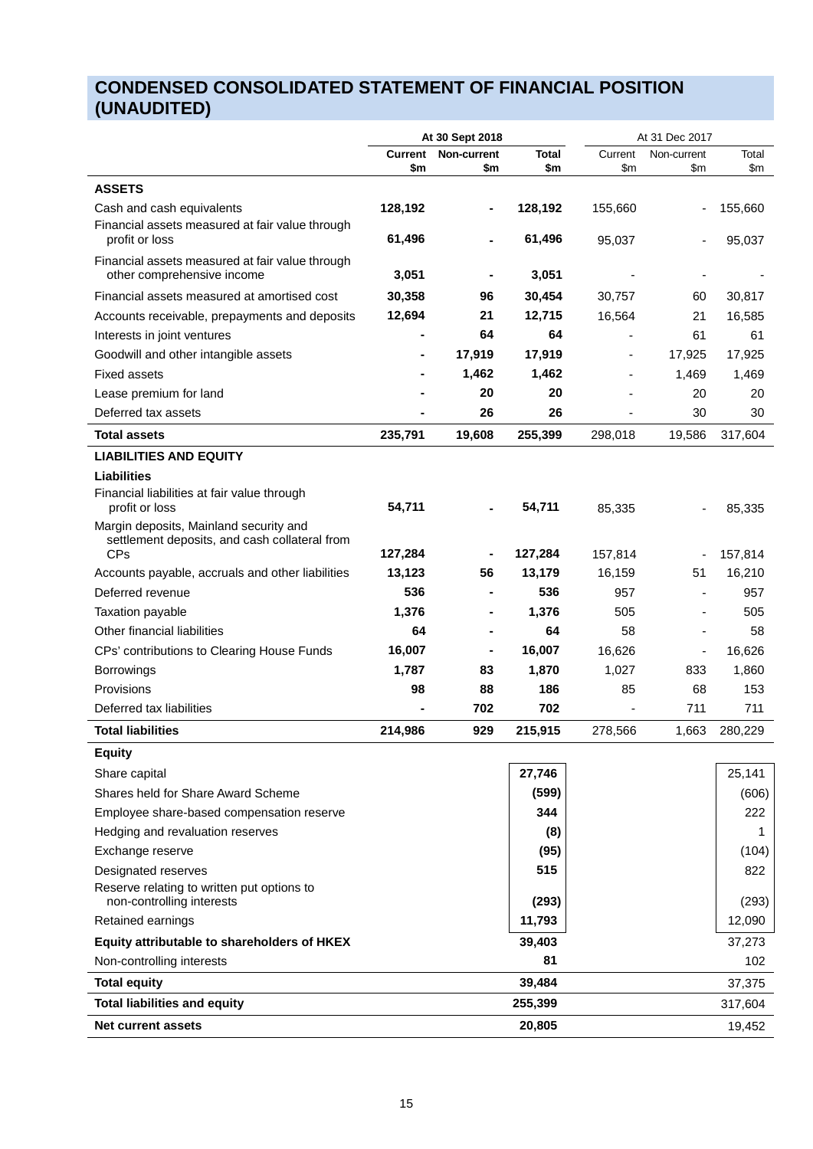# **CONDENSED CONSOLIDATED STATEMENT OF FINANCIAL POSITION (UNAUDITED)**

|                                                                                         | At 30 Sept 2018       |                    |              |                | At 31 Dec 2017           |              |  |  |
|-----------------------------------------------------------------------------------------|-----------------------|--------------------|--------------|----------------|--------------------------|--------------|--|--|
|                                                                                         | <b>Current</b><br>\$m | Non-current<br>\$m | Total<br>\$m | Current<br>\$m | Non-current<br>\$m       | Total<br>\$m |  |  |
| <b>ASSETS</b>                                                                           |                       |                    |              |                |                          |              |  |  |
| Cash and cash equivalents<br>Financial assets measured at fair value through            | 128,192               |                    | 128,192      | 155,660        |                          | 155,660      |  |  |
| profit or loss                                                                          | 61,496                |                    | 61,496       | 95,037         |                          | 95,037       |  |  |
| Financial assets measured at fair value through<br>other comprehensive income           | 3,051                 |                    | 3,051        |                |                          |              |  |  |
| Financial assets measured at amortised cost                                             | 30,358                | 96                 | 30,454       | 30,757         | 60                       | 30,817       |  |  |
| Accounts receivable, prepayments and deposits                                           | 12,694                | 21                 | 12,715       | 16,564         | 21                       | 16,585       |  |  |
| Interests in joint ventures                                                             |                       | 64                 | 64           |                | 61                       | 61           |  |  |
| Goodwill and other intangible assets                                                    |                       | 17,919             | 17,919       |                | 17,925                   | 17,925       |  |  |
| <b>Fixed assets</b>                                                                     |                       | 1,462              | 1,462        |                | 1,469                    | 1,469        |  |  |
| Lease premium for land                                                                  |                       | 20                 | 20           |                | 20                       | 20           |  |  |
| Deferred tax assets                                                                     |                       | 26                 | 26           |                | 30                       | 30           |  |  |
| <b>Total assets</b>                                                                     | 235,791               | 19,608             | 255,399      | 298,018        | 19,586                   | 317,604      |  |  |
| <b>LIABILITIES AND EQUITY</b>                                                           |                       |                    |              |                |                          |              |  |  |
| <b>Liabilities</b>                                                                      |                       |                    |              |                |                          |              |  |  |
| Financial liabilities at fair value through<br>profit or loss                           | 54,711                |                    | 54,711       | 85,335         |                          | 85,335       |  |  |
| Margin deposits, Mainland security and<br>settlement deposits, and cash collateral from |                       |                    |              |                |                          |              |  |  |
| <b>CPs</b>                                                                              | 127,284               |                    | 127,284      | 157,814        |                          | 157,814      |  |  |
| Accounts payable, accruals and other liabilities                                        | 13,123                | 56                 | 13,179       | 16,159         | 51                       | 16,210       |  |  |
| Deferred revenue                                                                        | 536                   |                    | 536          | 957            | $\overline{\phantom{m}}$ | 957          |  |  |
| Taxation payable                                                                        | 1,376                 |                    | 1,376        | 505            |                          | 505          |  |  |
| Other financial liabilities                                                             | 64                    |                    | 64           | 58             |                          | 58           |  |  |
| CPs' contributions to Clearing House Funds                                              | 16,007                |                    | 16,007       | 16,626         | $\blacksquare$           | 16,626       |  |  |
| <b>Borrowings</b>                                                                       | 1,787                 | 83                 | 1,870        | 1,027          | 833                      | 1,860        |  |  |
| Provisions                                                                              | 98                    | 88                 | 186          | 85             | 68                       | 153          |  |  |
| Deferred tax liabilities                                                                |                       | 702                | 702          | ٠              | 711                      | 711          |  |  |
| <b>Total liabilities</b>                                                                | 214,986               | 929                | 215,915      | 278,566        | 1,663                    | 280,229      |  |  |
| <b>Equity</b>                                                                           |                       |                    |              |                |                          |              |  |  |
| Share capital                                                                           |                       |                    | 27,746       |                |                          | 25,141       |  |  |
| Shares held for Share Award Scheme                                                      |                       |                    | (599)        |                |                          | (606)        |  |  |
| Employee share-based compensation reserve                                               |                       |                    | 344          |                |                          | 222          |  |  |
| Hedging and revaluation reserves                                                        |                       |                    | (8)          |                |                          | 1            |  |  |
| Exchange reserve                                                                        |                       |                    | (95)         |                |                          | (104)        |  |  |
| Designated reserves                                                                     |                       |                    | 515          |                |                          | 822          |  |  |
| Reserve relating to written put options to<br>non-controlling interests                 |                       |                    | (293)        |                |                          | (293)        |  |  |
| Retained earnings                                                                       |                       |                    | 11,793       |                |                          | 12,090       |  |  |
| Equity attributable to shareholders of HKEX                                             |                       |                    | 39,403       |                |                          | 37,273       |  |  |
| Non-controlling interests                                                               |                       |                    | 81           |                |                          | 102          |  |  |
| <b>Total equity</b>                                                                     |                       |                    | 39,484       |                |                          | 37,375       |  |  |
| <b>Total liabilities and equity</b>                                                     |                       |                    | 255,399      |                |                          | 317,604      |  |  |
| Net current assets                                                                      |                       |                    | 20,805       |                |                          | 19,452       |  |  |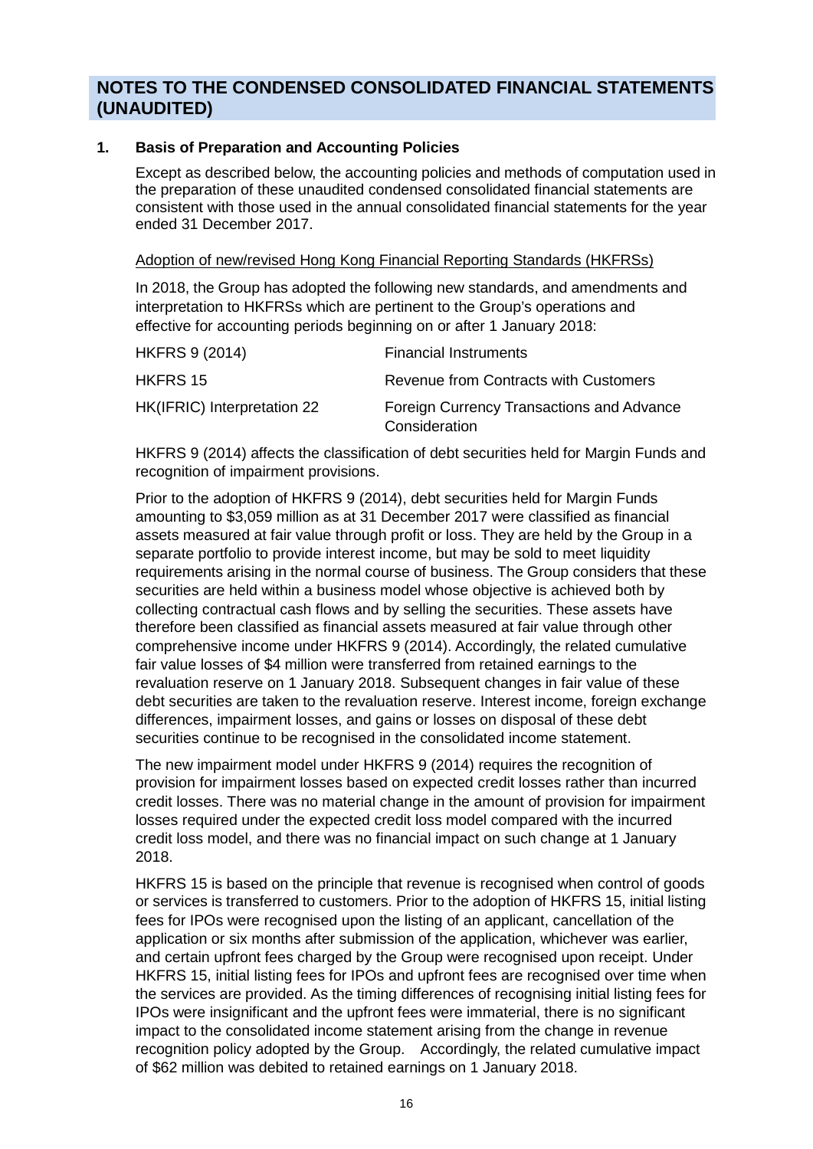# **NOTES TO THE CONDENSED CONSOLIDATED FINANCIAL STATEMENTS (UNAUDITED)**

#### **1. Basis of Preparation and Accounting Policies**

Except as described below, the accounting policies and methods of computation used in the preparation of these unaudited condensed consolidated financial statements are consistent with those used in the annual consolidated financial statements for the year ended 31 December 2017.

#### Adoption of new/revised Hong Kong Financial Reporting Standards (HKFRSs)

In 2018, the Group has adopted the following new standards, and amendments and interpretation to HKFRSs which are pertinent to the Group's operations and effective for accounting periods beginning on or after 1 January 2018:

| <b>HKFRS 9 (2014)</b>       | <b>Financial Instruments</b>                               |
|-----------------------------|------------------------------------------------------------|
| HKFRS 15                    | Revenue from Contracts with Customers                      |
| HK(IFRIC) Interpretation 22 | Foreign Currency Transactions and Advance<br>Consideration |

HKFRS 9 (2014) affects the classification of debt securities held for Margin Funds and recognition of impairment provisions.

Prior to the adoption of HKFRS 9 (2014), debt securities held for Margin Funds amounting to \$3,059 million as at 31 December 2017 were classified as financial assets measured at fair value through profit or loss. They are held by the Group in a separate portfolio to provide interest income, but may be sold to meet liquidity requirements arising in the normal course of business. The Group considers that these securities are held within a business model whose objective is achieved both by collecting contractual cash flows and by selling the securities. These assets have therefore been classified as financial assets measured at fair value through other comprehensive income under HKFRS 9 (2014). Accordingly, the related cumulative fair value losses of \$4 million were transferred from retained earnings to the revaluation reserve on 1 January 2018. Subsequent changes in fair value of these debt securities are taken to the revaluation reserve. Interest income, foreign exchange differences, impairment losses, and gains or losses on disposal of these debt securities continue to be recognised in the consolidated income statement.

The new impairment model under HKFRS 9 (2014) requires the recognition of provision for impairment losses based on expected credit losses rather than incurred credit losses. There was no material change in the amount of provision for impairment losses required under the expected credit loss model compared with the incurred credit loss model, and there was no financial impact on such change at 1 January 2018.

HKFRS 15 is based on the principle that revenue is recognised when control of goods or services is transferred to customers. Prior to the adoption of HKFRS 15, initial listing fees for IPOs were recognised upon the listing of an applicant, cancellation of the application or six months after submission of the application, whichever was earlier, and certain upfront fees charged by the Group were recognised upon receipt. Under HKFRS 15, initial listing fees for IPOs and upfront fees are recognised over time when the services are provided. As the timing differences of recognising initial listing fees for IPOs were insignificant and the upfront fees were immaterial, there is no significant impact to the consolidated income statement arising from the change in revenue recognition policy adopted by the Group. Accordingly, the related cumulative impact of \$62 million was debited to retained earnings on 1 January 2018.